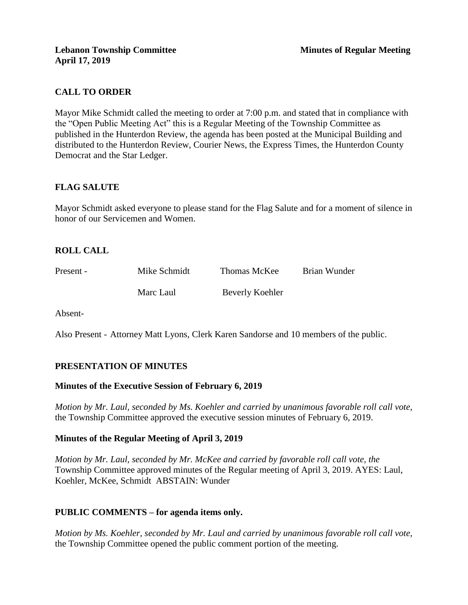# **CALL TO ORDER**

Mayor Mike Schmidt called the meeting to order at 7:00 p.m. and stated that in compliance with the "Open Public Meeting Act" this is a Regular Meeting of the Township Committee as published in the Hunterdon Review, the agenda has been posted at the Municipal Building and distributed to the Hunterdon Review, Courier News, the Express Times, the Hunterdon County Democrat and the Star Ledger.

# **FLAG SALUTE**

Mayor Schmidt asked everyone to please stand for the Flag Salute and for a moment of silence in honor of our Servicemen and Women.

# **ROLL CALL**

| Present - | Mike Schmidt | Thomas McKee    | Brian Wunder |
|-----------|--------------|-----------------|--------------|
|           | Marc Laul    | Beverly Koehler |              |

Absent-

Also Present - Attorney Matt Lyons, Clerk Karen Sandorse and 10 members of the public.

# **PRESENTATION OF MINUTES**

#### **Minutes of the Executive Session of February 6, 2019**

*Motion by Mr. Laul, seconded by Ms. Koehler and carried by unanimous favorable roll call vote,* the Township Committee approved the executive session minutes of February 6, 2019.

# **Minutes of the Regular Meeting of April 3, 2019**

*Motion by Mr. Laul, seconded by Mr. McKee and carried by favorable roll call vote, the* Township Committee approved minutes of the Regular meeting of April 3, 2019. AYES: Laul, Koehler, McKee, Schmidt ABSTAIN: Wunder

# **PUBLIC COMMENTS – for agenda items only.**

*Motion by Ms. Koehler, seconded by Mr. Laul and carried by unanimous favorable roll call vote,* the Township Committee opened the public comment portion of the meeting.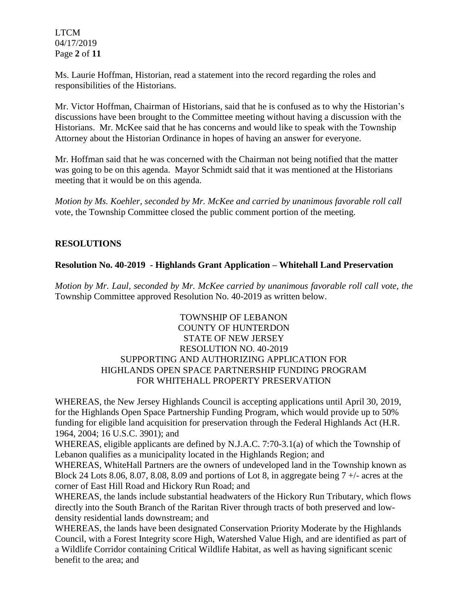LTCM 04/17/2019 Page **2** of **11**

Ms. Laurie Hoffman, Historian, read a statement into the record regarding the roles and responsibilities of the Historians.

Mr. Victor Hoffman, Chairman of Historians, said that he is confused as to why the Historian's discussions have been brought to the Committee meeting without having a discussion with the Historians. Mr. McKee said that he has concerns and would like to speak with the Township Attorney about the Historian Ordinance in hopes of having an answer for everyone.

Mr. Hoffman said that he was concerned with the Chairman not being notified that the matter was going to be on this agenda. Mayor Schmidt said that it was mentioned at the Historians meeting that it would be on this agenda.

*Motion by Ms. Koehler, seconded by Mr. McKee and carried by unanimous favorable roll call*  vote, the Township Committee closed the public comment portion of the meeting.

# **RESOLUTIONS**

# **Resolution No. 40-2019 - Highlands Grant Application – Whitehall Land Preservation**

*Motion by Mr. Laul, seconded by Mr. McKee carried by unanimous favorable roll call vote, the* Township Committee approved Resolution No. 40-2019 as written below.

## TOWNSHIP OF LEBANON COUNTY OF HUNTERDON STATE OF NEW JERSEY RESOLUTION NO. 40-2019 SUPPORTING AND AUTHORIZING APPLICATION FOR HIGHLANDS OPEN SPACE PARTNERSHIP FUNDING PROGRAM FOR WHITEHALL PROPERTY PRESERVATION

WHEREAS, the New Jersey Highlands Council is accepting applications until April 30, 2019, for the Highlands Open Space Partnership Funding Program, which would provide up to 50% funding for eligible land acquisition for preservation through the Federal Highlands Act (H.R. 1964, 2004; 16 U.S.C. 3901); and

WHEREAS, eligible applicants are defined by N.J.A.C. 7:70-3.1(a) of which the Township of Lebanon qualifies as a municipality located in the Highlands Region; and

WHEREAS, WhiteHall Partners are the owners of undeveloped land in the Township known as Block 24 Lots 8.06, 8.07, 8.08, 8.09 and portions of Lot 8, in aggregate being  $7 +$ - acres at the corner of East Hill Road and Hickory Run Road; and

WHEREAS, the lands include substantial headwaters of the Hickory Run Tributary, which flows directly into the South Branch of the Raritan River through tracts of both preserved and lowdensity residential lands downstream; and

WHEREAS, the lands have been designated Conservation Priority Moderate by the Highlands Council, with a Forest Integrity score High, Watershed Value High, and are identified as part of a Wildlife Corridor containing Critical Wildlife Habitat, as well as having significant scenic benefit to the area; and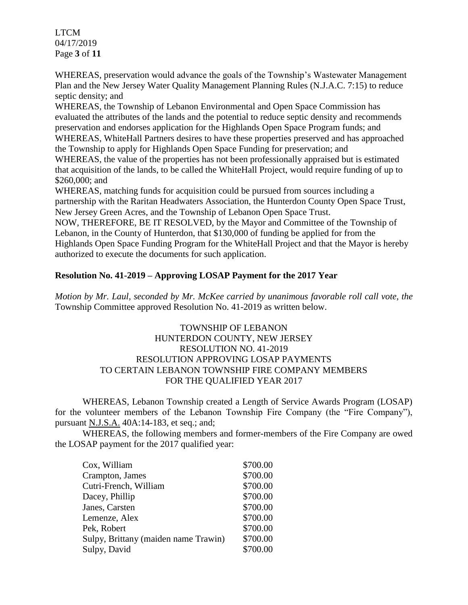LTCM 04/17/2019 Page **3** of **11**

WHEREAS, preservation would advance the goals of the Township's Wastewater Management Plan and the New Jersey Water Quality Management Planning Rules (N.J.A.C. 7:15) to reduce septic density; and

WHEREAS, the Township of Lebanon Environmental and Open Space Commission has evaluated the attributes of the lands and the potential to reduce septic density and recommends preservation and endorses application for the Highlands Open Space Program funds; and WHEREAS, WhiteHall Partners desires to have these properties preserved and has approached

the Township to apply for Highlands Open Space Funding for preservation; and WHEREAS, the value of the properties has not been professionally appraised but is estimated that acquisition of the lands, to be called the WhiteHall Project, would require funding of up to \$260,000; and

WHEREAS, matching funds for acquisition could be pursued from sources including a partnership with the Raritan Headwaters Association, the Hunterdon County Open Space Trust, New Jersey Green Acres, and the Township of Lebanon Open Space Trust.

NOW, THEREFORE, BE IT RESOLVED, by the Mayor and Committee of the Township of Lebanon, in the County of Hunterdon, that \$130,000 of funding be applied for from the Highlands Open Space Funding Program for the WhiteHall Project and that the Mayor is hereby authorized to execute the documents for such application.

# **Resolution No. 41-2019 – Approving LOSAP Payment for the 2017 Year**

*Motion by Mr. Laul, seconded by Mr. McKee carried by unanimous favorable roll call vote, the* Township Committee approved Resolution No. 41-2019 as written below.

## TOWNSHIP OF LEBANON HUNTERDON COUNTY, NEW JERSEY RESOLUTION NO. 41-2019 RESOLUTION APPROVING LOSAP PAYMENTS TO CERTAIN LEBANON TOWNSHIP FIRE COMPANY MEMBERS FOR THE QUALIFIED YEAR 2017

WHEREAS, Lebanon Township created a Length of Service Awards Program (LOSAP) for the volunteer members of the Lebanon Township Fire Company (the "Fire Company"), pursuant N.J.S.A. 40A:14-183, et seq.; and;

WHEREAS, the following members and former-members of the Fire Company are owed the LOSAP payment for the 2017 qualified year:

| Cox, William                         | \$700.00 |
|--------------------------------------|----------|
| Crampton, James                      | \$700.00 |
| Cutri-French, William                | \$700.00 |
| Dacey, Phillip                       | \$700.00 |
| Janes, Carsten                       | \$700.00 |
| Lemenze, Alex                        | \$700.00 |
| Pek, Robert                          | \$700.00 |
| Sulpy, Brittany (maiden name Trawin) | \$700.00 |
| Sulpy, David                         | \$700.00 |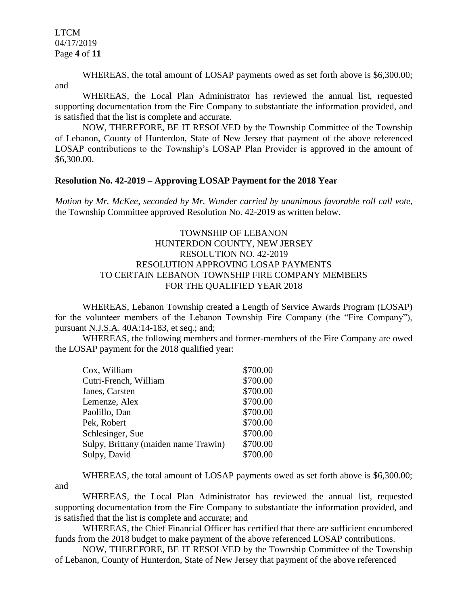LTCM 04/17/2019 Page **4** of **11**

WHEREAS, the total amount of LOSAP payments owed as set forth above is \$6,300.00;

and

WHEREAS, the Local Plan Administrator has reviewed the annual list, requested supporting documentation from the Fire Company to substantiate the information provided, and is satisfied that the list is complete and accurate.

NOW, THEREFORE, BE IT RESOLVED by the Township Committee of the Township of Lebanon, County of Hunterdon, State of New Jersey that payment of the above referenced LOSAP contributions to the Township's LOSAP Plan Provider is approved in the amount of \$6,300.00.

#### **Resolution No. 42-2019 – Approving LOSAP Payment for the 2018 Year**

*Motion by Mr. McKee, seconded by Mr. Wunder carried by unanimous favorable roll call vote,* the Township Committee approved Resolution No. 42-2019 as written below.

## TOWNSHIP OF LEBANON HUNTERDON COUNTY, NEW JERSEY RESOLUTION NO. 42-2019 RESOLUTION APPROVING LOSAP PAYMENTS TO CERTAIN LEBANON TOWNSHIP FIRE COMPANY MEMBERS FOR THE QUALIFIED YEAR 2018

WHEREAS, Lebanon Township created a Length of Service Awards Program (LOSAP) for the volunteer members of the Lebanon Township Fire Company (the "Fire Company"), pursuant N.J.S.A. 40A:14-183, et seq.; and;

WHEREAS, the following members and former-members of the Fire Company are owed the LOSAP payment for the 2018 qualified year:

| Cox, William                         | \$700.00 |
|--------------------------------------|----------|
| Cutri-French, William                | \$700.00 |
| Janes, Carsten                       | \$700.00 |
| Lemenze, Alex                        | \$700.00 |
| Paolillo, Dan                        | \$700.00 |
| Pek, Robert                          | \$700.00 |
| Schlesinger, Sue                     | \$700.00 |
| Sulpy, Brittany (maiden name Trawin) | \$700.00 |
| Sulpy, David                         | \$700.00 |

WHEREAS, the total amount of LOSAP payments owed as set forth above is \$6,300.00; and

WHEREAS, the Local Plan Administrator has reviewed the annual list, requested supporting documentation from the Fire Company to substantiate the information provided, and is satisfied that the list is complete and accurate; and

WHEREAS, the Chief Financial Officer has certified that there are sufficient encumbered funds from the 2018 budget to make payment of the above referenced LOSAP contributions.

NOW, THEREFORE, BE IT RESOLVED by the Township Committee of the Township of Lebanon, County of Hunterdon, State of New Jersey that payment of the above referenced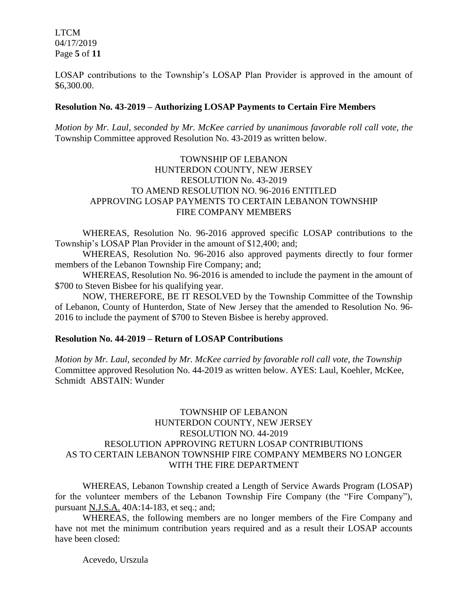LTCM 04/17/2019 Page **5** of **11**

LOSAP contributions to the Township's LOSAP Plan Provider is approved in the amount of \$6,300.00.

#### **Resolution No. 43-2019 – Authorizing LOSAP Payments to Certain Fire Members**

*Motion by Mr. Laul, seconded by Mr. McKee carried by unanimous favorable roll call vote, the* Township Committee approved Resolution No. 43-2019 as written below.

### TOWNSHIP OF LEBANON HUNTERDON COUNTY, NEW JERSEY RESOLUTION No. 43-2019 TO AMEND RESOLUTION NO. 96-2016 ENTITLED APPROVING LOSAP PAYMENTS TO CERTAIN LEBANON TOWNSHIP FIRE COMPANY MEMBERS

WHEREAS, Resolution No. 96-2016 approved specific LOSAP contributions to the Township's LOSAP Plan Provider in the amount of \$12,400; and;

WHEREAS, Resolution No. 96-2016 also approved payments directly to four former members of the Lebanon Township Fire Company; and;

WHEREAS, Resolution No. 96-2016 is amended to include the payment in the amount of \$700 to Steven Bisbee for his qualifying year.

NOW, THEREFORE, BE IT RESOLVED by the Township Committee of the Township of Lebanon, County of Hunterdon, State of New Jersey that the amended to Resolution No. 96- 2016 to include the payment of \$700 to Steven Bisbee is hereby approved.

#### **Resolution No. 44-2019 – Return of LOSAP Contributions**

*Motion by Mr. Laul, seconded by Mr. McKee carried by favorable roll call vote, the Township* Committee approved Resolution No. 44-2019 as written below. AYES: Laul, Koehler, McKee, Schmidt ABSTAIN: Wunder

## TOWNSHIP OF LEBANON HUNTERDON COUNTY, NEW JERSEY RESOLUTION NO. 44-2019 RESOLUTION APPROVING RETURN LOSAP CONTRIBUTIONS AS TO CERTAIN LEBANON TOWNSHIP FIRE COMPANY MEMBERS NO LONGER WITH THE FIRE DEPARTMENT

WHEREAS, Lebanon Township created a Length of Service Awards Program (LOSAP) for the volunteer members of the Lebanon Township Fire Company (the "Fire Company"), pursuant N.J.S.A. 40A:14-183, et seq.; and;

WHEREAS, the following members are no longer members of the Fire Company and have not met the minimum contribution years required and as a result their LOSAP accounts have been closed:

Acevedo, Urszula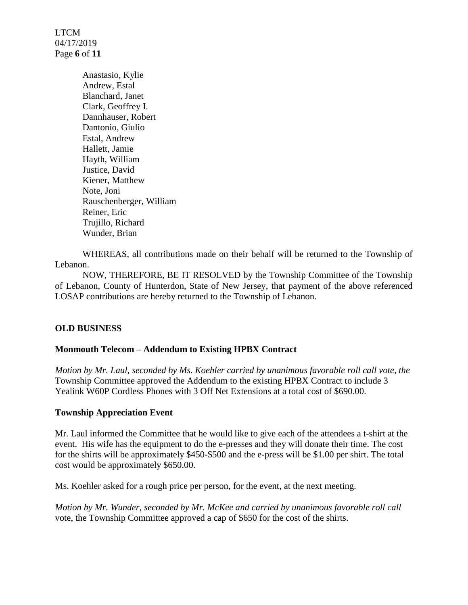LTCM 04/17/2019 Page **6** of **11**

> Anastasio, Kylie Andrew, Estal Blanchard, Janet Clark, Geoffrey I. Dannhauser, Robert Dantonio, Giulio Estal, Andrew Hallett, Jamie Hayth, William Justice, David Kiener, Matthew Note, Joni Rauschenberger, William Reiner, Eric Trujillo, Richard Wunder, Brian

WHEREAS, all contributions made on their behalf will be returned to the Township of Lebanon.

NOW, THEREFORE, BE IT RESOLVED by the Township Committee of the Township of Lebanon, County of Hunterdon, State of New Jersey, that payment of the above referenced LOSAP contributions are hereby returned to the Township of Lebanon.

# **OLD BUSINESS**

#### **Monmouth Telecom – Addendum to Existing HPBX Contract**

*Motion by Mr. Laul, seconded by Ms. Koehler carried by unanimous favorable roll call vote, the* Township Committee approved the Addendum to the existing HPBX Contract to include 3 Yealink W60P Cordless Phones with 3 Off Net Extensions at a total cost of \$690.00.

#### **Township Appreciation Event**

Mr. Laul informed the Committee that he would like to give each of the attendees a t-shirt at the event. His wife has the equipment to do the e-presses and they will donate their time. The cost for the shirts will be approximately \$450-\$500 and the e-press will be \$1.00 per shirt. The total cost would be approximately \$650.00.

Ms. Koehler asked for a rough price per person, for the event, at the next meeting.

*Motion by Mr. Wunder, seconded by Mr. McKee and carried by unanimous favorable roll call*  vote, the Township Committee approved a cap of \$650 for the cost of the shirts.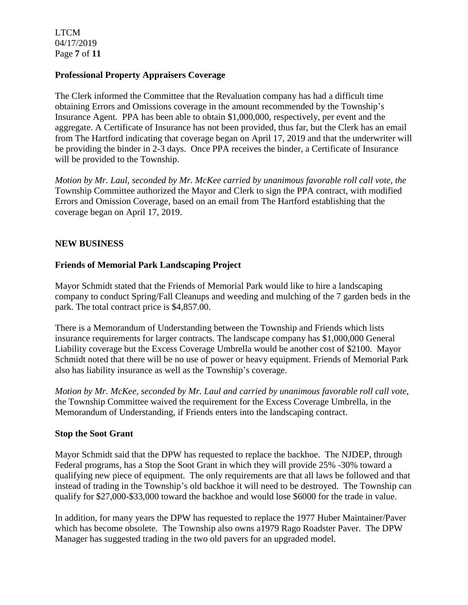LTCM 04/17/2019 Page **7** of **11**

### **Professional Property Appraisers Coverage**

The Clerk informed the Committee that the Revaluation company has had a difficult time obtaining Errors and Omissions coverage in the amount recommended by the Township's Insurance Agent. PPA has been able to obtain \$1,000,000, respectively, per event and the aggregate. A Certificate of Insurance has not been provided, thus far, but the Clerk has an email from The Hartford indicating that coverage began on April 17, 2019 and that the underwriter will be providing the binder in 2-3 days. Once PPA receives the binder, a Certificate of Insurance will be provided to the Township.

*Motion by Mr. Laul, seconded by Mr. McKee carried by unanimous favorable roll call vote, the* Township Committee authorized the Mayor and Clerk to sign the PPA contract, with modified Errors and Omission Coverage, based on an email from The Hartford establishing that the coverage began on April 17, 2019.

### **NEW BUSINESS**

### **Friends of Memorial Park Landscaping Project**

Mayor Schmidt stated that the Friends of Memorial Park would like to hire a landscaping company to conduct Spring/Fall Cleanups and weeding and mulching of the 7 garden beds in the park. The total contract price is \$4,857.00.

There is a Memorandum of Understanding between the Township and Friends which lists insurance requirements for larger contracts. The landscape company has \$1,000,000 General Liability coverage but the Excess Coverage Umbrella would be another cost of \$2100. Mayor Schmidt noted that there will be no use of power or heavy equipment. Friends of Memorial Park also has liability insurance as well as the Township's coverage.

*Motion by Mr. McKee, seconded by Mr. Laul and carried by unanimous favorable roll call vote,* the Township Committee waived the requirement for the Excess Coverage Umbrella, in the Memorandum of Understanding, if Friends enters into the landscaping contract.

#### **Stop the Soot Grant**

Mayor Schmidt said that the DPW has requested to replace the backhoe. The NJDEP, through Federal programs, has a Stop the Soot Grant in which they will provide 25% -30% toward a qualifying new piece of equipment. The only requirements are that all laws be followed and that instead of trading in the Township's old backhoe it will need to be destroyed. The Township can qualify for \$27,000-\$33,000 toward the backhoe and would lose \$6000 for the trade in value.

In addition, for many years the DPW has requested to replace the 1977 Huber Maintainer/Paver which has become obsolete. The Township also owns a1979 Rago Roadster Paver. The DPW Manager has suggested trading in the two old pavers for an upgraded model.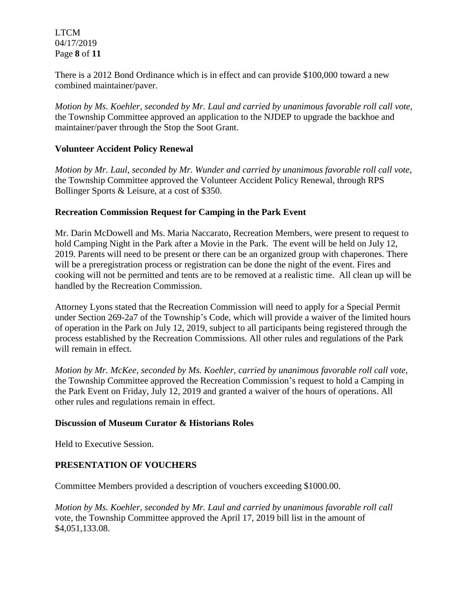LTCM 04/17/2019 Page **8** of **11**

There is a 2012 Bond Ordinance which is in effect and can provide \$100,000 toward a new combined maintainer/paver.

*Motion by Ms. Koehler, seconded by Mr. Laul and carried by unanimous favorable roll call vote,* the Township Committee approved an application to the NJDEP to upgrade the backhoe and maintainer/paver through the Stop the Soot Grant.

### **Volunteer Accident Policy Renewal**

*Motion by Mr. Laul, seconded by Mr. Wunder and carried by unanimous favorable roll call vote,*  the Township Committee approved the Volunteer Accident Policy Renewal, through RPS Bollinger Sports & Leisure, at a cost of \$350.

### **Recreation Commission Request for Camping in the Park Event**

Mr. Darin McDowell and Ms. Maria Naccarato, Recreation Members, were present to request to hold Camping Night in the Park after a Movie in the Park. The event will be held on July 12, 2019. Parents will need to be present or there can be an organized group with chaperones. There will be a preregistration process or registration can be done the night of the event. Fires and cooking will not be permitted and tents are to be removed at a realistic time. All clean up will be handled by the Recreation Commission.

Attorney Lyons stated that the Recreation Commission will need to apply for a Special Permit under Section 269-2a7 of the Township's Code, which will provide a waiver of the limited hours of operation in the Park on July 12, 2019, subject to all participants being registered through the process established by the Recreation Commissions. All other rules and regulations of the Park will remain in effect.

*Motion by Mr. McKee, seconded by Ms. Koehler, carried by unanimous favorable roll call vote,* the Township Committee approved the Recreation Commission's request to hold a Camping in the Park Event on Friday, July 12, 2019 and granted a waiver of the hours of operations. All other rules and regulations remain in effect.

#### **Discussion of Museum Curator & Historians Roles**

Held to Executive Session.

# **PRESENTATION OF VOUCHERS**

Committee Members provided a description of vouchers exceeding \$1000.00.

*Motion by Ms. Koehler, seconded by Mr. Laul and carried by unanimous favorable roll call*  vote, the Township Committee approved the April 17, 2019 bill list in the amount of \$4,051,133.08.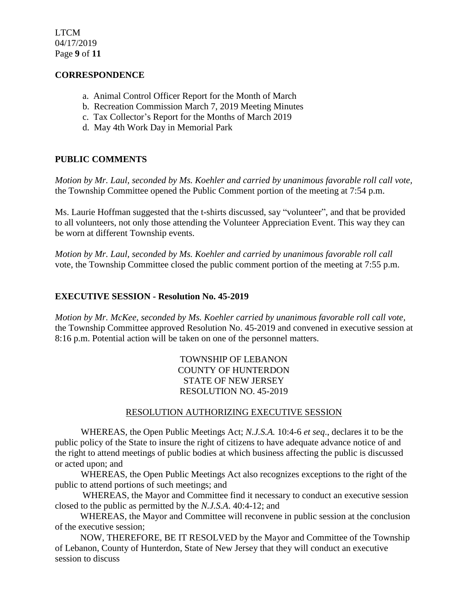LTCM 04/17/2019 Page **9** of **11**

#### **CORRESPONDENCE**

- a. Animal Control Officer Report for the Month of March
- b. Recreation Commission March 7, 2019 Meeting Minutes
- c. Tax Collector's Report for the Months of March 2019
- d. May 4th Work Day in Memorial Park

#### **PUBLIC COMMENTS**

*Motion by Mr. Laul, seconded by Ms. Koehler and carried by unanimous favorable roll call vote,* the Township Committee opened the Public Comment portion of the meeting at 7:54 p.m.

Ms. Laurie Hoffman suggested that the t-shirts discussed, say "volunteer", and that be provided to all volunteers, not only those attending the Volunteer Appreciation Event. This way they can be worn at different Township events.

*Motion by Mr. Laul, seconded by Ms. Koehler and carried by unanimous favorable roll call*  vote, the Township Committee closed the public comment portion of the meeting at 7:55 p.m.

#### **EXECUTIVE SESSION - Resolution No. 45-2019**

*Motion by Mr. McKee, seconded by Ms. Koehler carried by unanimous favorable roll call vote,* the Township Committee approved Resolution No. 45-2019 and convened in executive session at 8:16 p.m. Potential action will be taken on one of the personnel matters.

> TOWNSHIP OF LEBANON COUNTY OF HUNTERDON STATE OF NEW JERSEY RESOLUTION NO. 45-2019

#### RESOLUTION AUTHORIZING EXECUTIVE SESSION

WHEREAS, the Open Public Meetings Act; *N.J.S.A.* 10:4-6 *et seq*., declares it to be the public policy of the State to insure the right of citizens to have adequate advance notice of and the right to attend meetings of public bodies at which business affecting the public is discussed or acted upon; and

WHEREAS, the Open Public Meetings Act also recognizes exceptions to the right of the public to attend portions of such meetings; and

 WHEREAS, the Mayor and Committee find it necessary to conduct an executive session closed to the public as permitted by the *N.J.S.A*. 40:4-12; and

 WHEREAS, the Mayor and Committee will reconvene in public session at the conclusion of the executive session;

 NOW, THEREFORE, BE IT RESOLVED by the Mayor and Committee of the Township of Lebanon, County of Hunterdon, State of New Jersey that they will conduct an executive session to discuss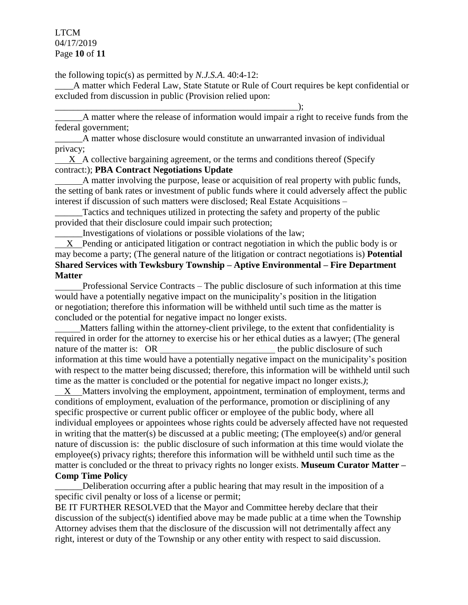LTCM 04/17/2019 Page **10** of **11**

the following topic(s) as permitted by *N.J.S.A*. 40:4-12:

\_\_\_\_A matter which Federal Law, State Statute or Rule of Court requires be kept confidential or excluded from discussion in public (Provision relied upon:

\_\_\_\_\_\_A matter where the release of information would impair a right to receive funds from the federal government;

\_\_\_\_\_\_A matter whose disclosure would constitute an unwarranted invasion of individual privacy;

 X A collective bargaining agreement, or the terms and conditions thereof (Specify contract:); **PBA Contract Negotiations Update**

 A matter involving the purpose, lease or acquisition of real property with public funds, the setting of bank rates or investment of public funds where it could adversely affect the public interest if discussion of such matters were disclosed; Real Estate Acquisitions –

Tactics and techniques utilized in protecting the safety and property of the public provided that their disclosure could impair such protection;

\_\_\_\_\_\_Investigations of violations or possible violations of the law;

\_\_\_\_\_\_\_\_\_\_\_\_\_\_\_\_\_\_\_\_\_\_\_\_\_\_\_\_\_\_\_\_\_\_\_\_\_\_\_\_\_\_\_\_\_\_\_\_\_\_\_\_\_);

 X Pending or anticipated litigation or contract negotiation in which the public body is or may become a party; (The general nature of the litigation or contract negotiations is) **Potential Shared Services with Tewksbury Township – Aptive Environmental – Fire Department Matter**

 Professional Service Contracts – The public disclosure of such information at this time would have a potentially negative impact on the municipality's position in the litigation or negotiation; therefore this information will be withheld until such time as the matter is concluded or the potential for negative impact no longer exists.

 Matters falling within the attorney-client privilege, to the extent that confidentiality is required in order for the attorney to exercise his or her ethical duties as a lawyer; (The general nature of the matter is: OR the public disclosure of such the public disclosure of such information at this time would have a potentially negative impact on the municipality's position with respect to the matter being discussed; therefore, this information will be withheld until such time as the matter is concluded or the potential for negative impact no longer exists.*)*;

 X Matters involving the employment, appointment, termination of employment, terms and conditions of employment, evaluation of the performance, promotion or disciplining of any specific prospective or current public officer or employee of the public body, where all individual employees or appointees whose rights could be adversely affected have not requested in writing that the matter(s) be discussed at a public meeting; (The employee(s) and/or general nature of discussion is: the public disclosure of such information at this time would violate the employee(s) privacy rights; therefore this information will be withheld until such time as the matter is concluded or the threat to privacy rights no longer exists. **Museum Curator Matter – Comp Time Policy** 

\_\_\_\_\_\_Deliberation occurring after a public hearing that may result in the imposition of a specific civil penalty or loss of a license or permit;

BE IT FURTHER RESOLVED that the Mayor and Committee hereby declare that their discussion of the subject(s) identified above may be made public at a time when the Township Attorney advises them that the disclosure of the discussion will not detrimentally affect any right, interest or duty of the Township or any other entity with respect to said discussion.